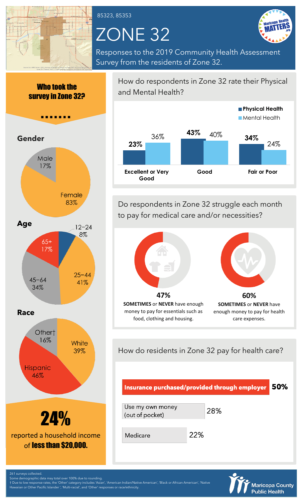

85323, 85353

# ZONE 32



Responses to the 2019 Community Health Assessment Survey from the residents of Zone 32.





How do respondents in Zone 32 rate their Physical and Mental Health?



Do respondents in Zone 32 struggle each month to pay for medical care and/or necessities?



enough money to pay for health care expenses.

How do residents in Zone 32 pay for health care?

food, clothing and housing.





261 surveys collected.

Some demographic data may total over 100% due to rounding. † Due to low response rates, the 'Other' category includes 'Asian', 'American Indian/Native American', 'Black or African American', 'Native Hawaiian or Other Pacific Islander ', 'Multi-racial', and 'Other' responses or race/ethnicity.